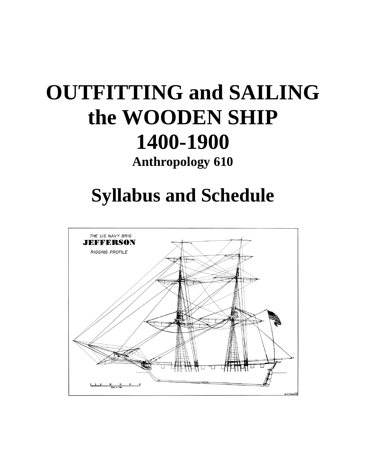# **OUTFITTING and SAILING the WOODEN SHIP 1400-1900**

**Anthropology 610**

## **Syllabus and Schedule**

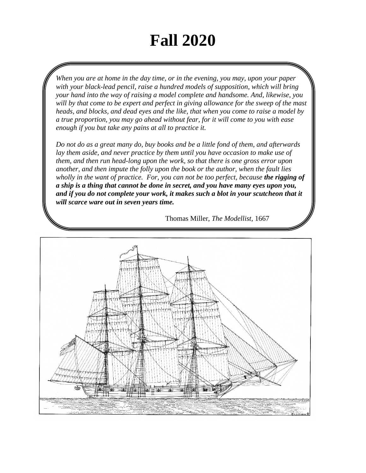## **Fall 2020**

*When you are at home in the day time, or in the evening, you may, upon your paper with your black-lead pencil, raise a hundred models of supposition, which will bring your hand into the way of raising a model complete and handsome. And, likewise, you will by that come to be expert and perfect in giving allowance for the sweep of the mast heads, and blocks, and dead eyes and the like, that when you come to raise a model by a true proportion, you may go ahead without fear, for it will come to you with ease enough if you but take any pains at all to practice it.* 

*Do not do as a great many do, buy books and be a little fond of them, and afterwards lay them aside, and never practice by them until you have occasion to make use of them, and then run head-long upon the work, so that there is one gross error upon another, and then impute the folly upon the book or the author, when the fault lies wholly in the want of practice. For, you can not be too perfect, because the rigging of a ship is a thing that cannot be done in secret, and you have many eyes upon you,*  and if you do not complete your work, it makes such a blot in your scutcheon that it *will scarce ware out in seven years time.* 

Thomas Miller, *The Modellist*, 1667

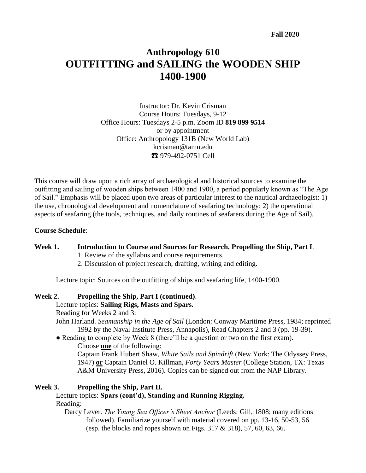### **Anthropology 610 OUTFITTING and SAILING the WOODEN SHIP 1400-1900**

Instructor: Dr. Kevin Crisman Course Hours: Tuesdays, 9-12 Office Hours: Tuesdays 2-5 p.m. Zoom ID **819 899 9514** or by appointment Office: Anthropology 131B (New World Lab) kcrisman@tamu.edu ☎ 979-492-0751 Cell

This course will draw upon a rich array of archaeological and historical sources to examine the outfitting and sailing of wooden ships between 1400 and 1900, a period popularly known as "The Age of Sail." Emphasis will be placed upon two areas of particular interest to the nautical archaeologist: 1) the use, chronological development and nomenclature of seafaring technology; 2) the operational aspects of seafaring (the tools, techniques, and daily routines of seafarers during the Age of Sail).

#### **Course Schedule**:

#### **Week 1. Introduction to Course and Sources for Research. Propelling the Ship, Part I**. 1. Review of the syllabus and course requirements.

2. Discussion of project research, drafting, writing and editing.

Lecture topic: Sources on the outfitting of ships and seafaring life, 1400-1900.

#### **Week 2. Propelling the Ship, Part I (continued)**.

Lecture topics: **Sailing Rigs, Masts and Spars.**

Reading for Weeks 2 and 3:

- John Harland. *Seamanship in the Age of Sail* (London: Conway Maritime Press, 1984; reprinted 1992 by the Naval Institute Press, Annapolis), Read Chapters 2 and 3 (pp. 19-39).
- Reading to complete by Week 8 (there'll be a question or two on the first exam). Choose **one** of the following:

Captain Frank Hubert Shaw, *White Sails and Spindrift* (New York: The Odyssey Press, 1947) **or** Captain Daniel O. Killman, *Forty Years Master* (College Station, TX: Texas A&M University Press, 2016). Copies can be signed out from the NAP Library.

#### **Week 3. Propelling the Ship, Part II.**

Lecture topics: **Spars (cont'd), Standing and Running Rigging.** Reading:

Darcy Lever. *The Young Sea Officer's Sheet Anchor* (Leeds: Gill, 1808; many editions followed). Familiarize yourself with material covered on pp. 13-16, 50-53, 56 (esp. the blocks and ropes shown on Figs. 317 & 318), 57, 60, 63, 66.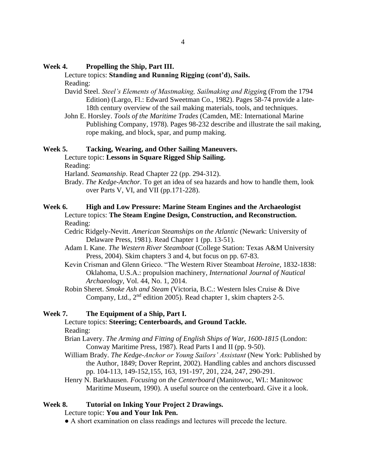#### **Week 4. Propelling the Ship, Part III.**

#### Lecture topics: **Standing and Running Rigging (cont'd), Sails.**

Reading:

- David Steel. *Steel's Elements of Mastmaking, Sailmaking and Riggin*g (From the 1794 Edition) (Largo, Fl.: Edward Sweetman Co., 1982). Pages 58-74 provide a late-18th century overview of the sail making materials, tools, and techniques.
- John E. Horsley. *Tools of the Maritime Trades* (Camden, ME: International Marine Publishing Company, 1978). Pages 98-232 describe and illustrate the sail making, rope making, and block, spar, and pump making.

#### **Week 5. Tacking, Wearing, and Other Sailing Maneuvers.**

Lecture topic: **Lessons in Square Rigged Ship Sailing.**

Reading:

Harland. *Seamanship*. Read Chapter 22 (pp. 294-312).

Brady. *The Kedge-Anchor.* To get an idea of sea hazards and how to handle them, look over Parts V, VI, and VII (pp.171-228).

#### **Week 6. High and Low Pressure: Marine Steam Engines and the Archaeologist**  Lecture topics: **The Steam Engine Design, Construction, and Reconstruction***.* Reading:

Cedric Ridgely-Nevitt. *American Steamships on the Atlantic* (Newark: University of Delaware Press, 1981). Read Chapter 1 (pp. 13-51).

- Adam I. Kane. *The Western River Steamboat* (College Station: Texas A&M University Press, 2004). Skim chapters 3 and 4, but focus on pp. 67-83.
- Kevin Crisman and Glenn Grieco. "The Western River Steamboat *Heroine*, 1832-1838: Oklahoma, U.S.A.: propulsion machinery, *International Journal of Nautical Archaeology*, Vol. 44, No. 1, 2014.
- Robin Sheret. *Smoke Ash and Steam* (Victoria, B.C.: Western Isles Cruise & Dive Company, Ltd., 2<sup>nd</sup> edition 2005). Read chapter 1, skim chapters 2-5.

#### **Week 7. The Equipment of a Ship, Part I.**

#### Lecture topics: **Steering; Centerboards, and Ground Tackle.** Reading:

- Brian Lavery. *The Arming and Fitting of English Ships of War, 1600-1815* (London: Conway Maritime Press, 1987). Read Parts I and II (pp. 9-50).
- William Brady. *The Kedge-Anchor or Young Sailors' Assistant* (New York: Published by the Author, 1849; Dover Reprint, 2002). Handling cables and anchors discussed pp. 104-113, 149-152,155, 163, 191-197, 201, 224, 247, 290-291.
- Henry N. Barkhausen. *Focusing on the Centerboard* (Manitowoc, WI.: Manitowoc Maritime Museum, 1990). A useful source on the centerboard. Give it a look.

#### **Week 8. Tutorial on Inking Your Project 2 Drawings.**

#### Lecture topic: **You and Your Ink Pen.**

● A short examination on class readings and lectures will precede the lecture.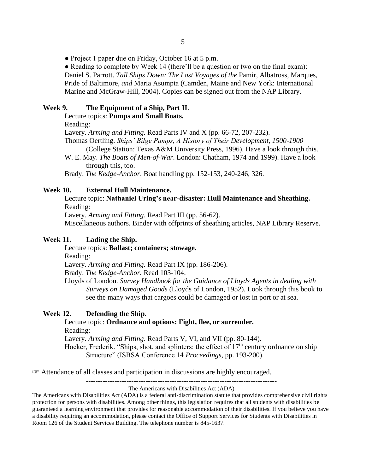• Project 1 paper due on Friday, October 16 at 5 p.m.

• Reading to complete by Week 14 (there'll be a question or two on the final exam): Daniel S. Parrott. *Tall Ships Down: The Last Voyages of the* Pamir, Albatross, Marques, Pride of Baltimore, *and* Maria Asumpta (Camden, Maine and New York: International Marine and McGraw-Hill, 2004). Copies can be signed out from the NAP Library.

#### **Week 9. The Equipment of a Ship, Part II**.

Lecture topics: **Pumps and Small Boats.**

Reading:

Lavery. *Arming and Fitting.* Read Parts IV and X (pp. 66-72, 207-232).

Thomas Oertling. *Ships' Bilge Pumps, A History of Their Development, 1500-1900* (College Station: Texas A&M University Press, 1996). Have a look through this.

W. E. May. *The Boats of Men-of-War*. London: Chatham, 1974 and 1999). Have a look through this, too.

Brady. *The Kedge-Anchor*. Boat handling pp. 152-153, 240-246, 326.

#### **Week 10. External Hull Maintenance.**

Lecture topic: **Nathaniel Uring's near-disaster: Hull Maintenance and Sheathing.** Reading:

Lavery. *Arming and Fitting*. Read Part III (pp. 56-62).

Miscellaneous authors. Binder with offprints of sheathing articles, NAP Library Reserve.

#### **Week 11. Lading the Ship.**

Lecture topics: **Ballast; containers; stowage.**

Reading:

Lavery. *Arming and Fitting.* Read Part IX (pp. 186-206).

Brady. *The Kedge-Anchor.* Read 103-104.

Lloyds of London. *Survey Handbook for the Guidance of Lloyds Agents in dealing with Surveys on Damaged Goods* (Lloyds of London, 1952). Look through this book to see the many ways that cargoes could be damaged or lost in port or at sea.

#### **Week 12. Defending the Ship**.

#### Lecture topic: **Ordnance and options: Fight, flee, or surrender.** Reading:

Lavery. *Arming and Fitting*. Read Parts V, VI, and VII (pp. 80-144). Hocker, Frederik. "Ships, shot, and splinters: the effect of  $17<sup>th</sup>$  century ordnance on ship

Structure" (ISBSA Conference 14 *Proceedings*, pp. 193-200).

☞ Attendance of all classes and participation in discussions are highly encouraged.

--------------------------------------------------------------------------------

#### The Americans with Disabilities Act (ADA)

The Americans with Disabilities Act (ADA) is a federal anti-discrimination statute that provides comprehensive civil rights protection for persons with disabilities. Among other things, this legislation requires that all students with disabilities be guaranteed a learning environment that provides for reasonable accommodation of their disabilities. If you believe you have a disability requiring an accommodation, please contact the Office of Support Services for Students with Disabilities in Room 126 of the Student Services Building. The telephone number is 845-1637.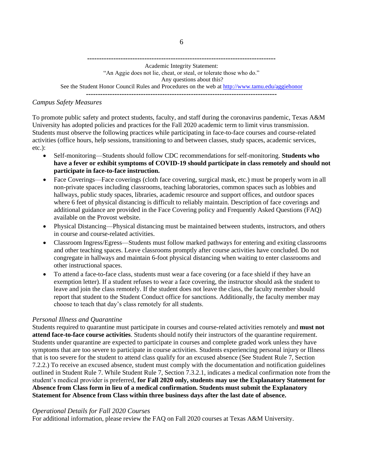**-------------------------------------------------------------------------------** Academic Integrity Statement: "An Aggie does not lie, cheat, or steal, or tolerate those who do." Any questions about this? See the Student Honor Council Rules and Procedures on the web at<http://www.tamu.edu/aggiehonor> **--------------------------------------------------------------------------------**

#### *Campus Safety Measures*

To promote public safety and protect students, faculty, and staff during the coronavirus pandemic, Texas A&M University has adopted policies and practices for the Fall 2020 academic term to limit virus transmission. Students must observe the following practices while participating in face-to-face courses and course-related activities (office hours, help sessions, transitioning to and between classes, study spaces, academic services, etc.):

- Self-monitoring—Students should follow CDC recommendations for self-monitoring. **Students who have a fever or exhibit symptoms of COVID-19 should participate in class remotely and should not participate in face-to-face instruction.**
- Face Coverings—Face coverings (cloth face covering, surgical mask, etc.) must be properly worn in all non-private spaces including classrooms, teaching laboratories, common spaces such as lobbies and hallways, public study spaces, libraries, academic resource and support offices, and outdoor spaces where 6 feet of physical distancing is difficult to reliably maintain. Description of face coverings and additional guidance are provided in the Face Covering policy and Frequently Asked Questions (FAQ) available on the Provost website.
- Physical Distancing—Physical distancing must be maintained between students, instructors, and others in course and course-related activities.
- Classroom Ingress/Egress—Students must follow marked pathways for entering and exiting classrooms and other teaching spaces. Leave classrooms promptly after course activities have concluded. Do not congregate in hallways and maintain 6-foot physical distancing when waiting to enter classrooms and other instructional spaces.
- To attend a face-to-face class, students must wear a face covering (or a face shield if they have an exemption letter). If a student refuses to wear a face covering, the instructor should ask the student to leave and join the class remotely. If the student does not leave the class, the faculty member should report that student to the Student Conduct office for sanctions. Additionally, the faculty member may choose to teach that day's class remotely for all students.

#### *Personal Illness and Quarantine*

Students required to quarantine must participate in courses and course-related activities remotely and **must not attend face-to-face course activities**. Students should notify their instructors of the quarantine requirement. Students under quarantine are expected to participate in courses and complete graded work unless they have symptoms that are too severe to participate in course activities. Students experiencing personal injury or Illness that is too severe for the student to attend class qualify for an excused absence (See Student Rule 7, Section 7.2.2.) To receive an excused absence, student must comply with the documentation and notification guidelines outlined in Student Rule 7. While Student Rule 7, Section 7.3.2.1, indicates a medical confirmation note from the student's medical provider is preferred, **for Fall 2020 only, students may use the Explanatory Statement for Absence from Class form in lieu of a medical confirmation. Students must submit the Explanatory Statement for Absence from Class within three business days after the last date of absence.** 

#### *Operational Details for Fall 2020 Courses*

For additional information, please review the FAQ on Fall 2020 courses at Texas A&M University.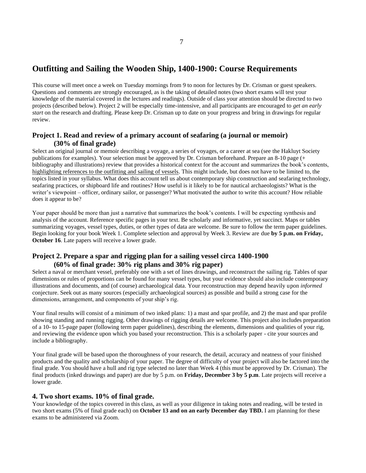#### **Outfitting and Sailing the Wooden Ship, 1400-1900: Course Requirements**

This course will meet once a week on Tuesday mornings from 9 to noon for lectures by Dr. Crisman or guest speakers. Questions and comments are strongly encouraged, as is the taking of detailed notes (two short exams will test your knowledge of the material covered in the lectures and readings). Outside of class your attention should be directed to two projects (described below). Project 2 will be especially time-intensive, and all participants are encouraged to *get an early start* on the research and drafting. Please keep Dr. Crisman up to date on your progress and bring in drawings for regular review.

#### **Project 1. Read and review of a primary account of seafaring (a journal or memoir) (30% of final grade)**

Select an original journal or memoir describing a voyage, a series of voyages, or a career at sea (see the Hakluyt Society publications for examples). Your selection must be approved by Dr. Crisman beforehand. Prepare an 8-10 page (+ bibliography and illustrations) review that provides a historical context for the account and summarizes the book's contents, highlighting references to the outfitting and sailing of vessels. This might include, but does not have to be limited to, the topics listed in your syllabus. What does this account tell us about contemporary ship construction and seafaring technology, seafaring practices, or shipboard life and routines? How useful is it likely to be for nautical archaeologists? What is the writer's viewpoint – officer, ordinary sailor, or passenger? What motivated the author to write this account? How reliable does it appear to be?

Your paper should be more than just a narrative that summarizes the book's contents. I will be expecting synthesis and analysis of the account. Reference specific pages in your text. Be scholarly and informative, yet succinct. Maps or tables summarizing voyages, vessel types, duties, or other types of data are welcome. Be sure to follow the term paper guidelines. Begin looking for your book Week 1. Complete selection and approval by Week 3. Review are due **by 5 p.m. on Friday, October 16**. Late papers will receive a lower grade.

#### **Project 2. Prepare a spar and rigging plan for a sailing vessel circa 1400-1900 (60% of final grade: 30% rig plans and 30% rig paper)**

Select a naval or merchant vessel, preferably one with a set of lines drawings, and reconstruct the sailing rig. Tables of spar dimensions or rules of proportions can be found for many vessel types, but your evidence should also include contemporary illustrations and documents, and (of course) archaeological data. Your reconstruction may depend heavily upon *informed*  conjecture. Seek out as many sources (especially archaeological sources) as possible and build a strong case for the dimensions, arrangement, and components of your ship's rig.

Your final results will consist of a minimum of two inked plans: 1) a mast and spar profile, and 2) the mast and spar profile showing standing and running rigging. Other drawings of rigging details are welcome. This project also includes preparation of a 10- to 15-page paper (following term paper guidelines), describing the elements, dimensions and qualities of your rig, and reviewing the evidence upon which you based your reconstruction. This is a scholarly paper - cite your sources and include a bibliography.

Your final grade will be based upon the thoroughness of your research, the detail, accuracy and neatness of your finished products and the quality and scholarship of your paper. The degree of difficulty of your project will also be factored into the final grade. You should have a hull and rig type selected no later than Week 4 (this must be approved by Dr. Crisman). The final products (inked drawings and paper) are due by 5 p.m. on **Friday, December 3 by 5 p.m**. Late projects will receive a lower grade.

#### **4. Two short exams. 10% of final grade.**

Your knowledge of the topics covered in this class, as well as your diligence in taking notes and reading, will be tested in two short exams (5% of final grade each) on **October 13 and on an early December day TBD.** I am planning for these exams to be administered via Zoom.